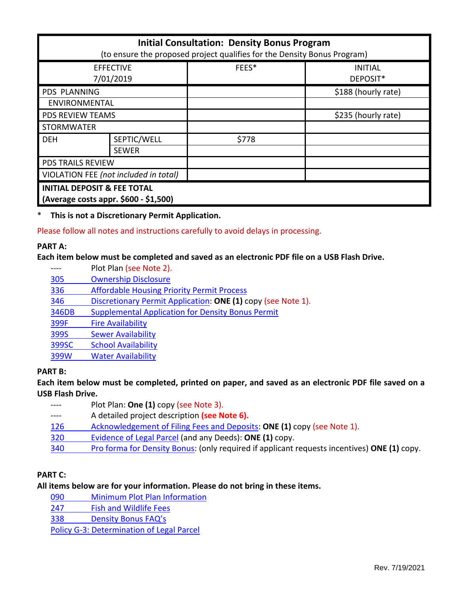| <b>Initial Consultation: Density Bonus Program</b><br>(to ensure the proposed project qualifies for the Density Bonus Program) |              |       |                            |
|--------------------------------------------------------------------------------------------------------------------------------|--------------|-------|----------------------------|
| <b>EFFECTIVE</b><br>7/01/2019                                                                                                  |              | FEES* | <b>INITIAL</b><br>DEPOSIT* |
| <b>PDS PLANNING</b>                                                                                                            |              |       | \$188 (hourly rate)        |
| <b>ENVIRONMENTAL</b>                                                                                                           |              |       |                            |
| <b>PDS REVIEW TEAMS</b>                                                                                                        |              |       | \$235 (hourly rate)        |
| <b>STORMWATER</b>                                                                                                              |              |       |                            |
| <b>DEH</b>                                                                                                                     | SEPTIC/WELL  | \$778 |                            |
|                                                                                                                                | <b>SEWER</b> |       |                            |
| <b>PDS TRAILS REVIEW</b>                                                                                                       |              |       |                            |
| VIOLATION FEE (not included in total)                                                                                          |              |       |                            |
| <b>INITIAL DEPOSIT &amp; FEE TOTAL</b><br>(Average costs appr. \$600 - \$1,500)                                                |              |       |                            |

\* **This is not a Discretionary Permit Application.**

Please follow all notes and instructions carefully to avoid delays in processing.

#### **PART A:**

#### **Each item below must be completed and saved as an electronic PDF file on a USB Flash Drive.**

---- Plot Plan (see Note 2). [305 Ownership Disclosure](https://www.sandiegocounty.gov/pds/zoning/formfields/PDS-PLN-305.pdf)  336 [Affordable Housing Priority Permit Process](https://www.sandiegocounty.gov/pds/zoning/formfields/PDS-PLN-336.pdf) 346 [Discretionary Permit Application:](https://www.sandiegocounty.gov/pds/zoning/formfields/PDS-PLN-346.pdf) **ONE (1)** copy (see Note 1). [346DB Supplemental Application for Density Bonus Permit](https://www.sandiegocounty.gov/pds/zoning/formfields/PDS-PLN-346DB.pdf) [399F Fire Availability](https://www.sandiegocounty.gov/pds/zoning/formfields/PDS-PLN-399F.pdf) 399S [Sewer Availability](https://www.sandiegocounty.gov/pds/zoning/formfields/PDS-PLN-399S.pdf) [399SC School Availability](https://www.sandiegocounty.gov/pds/zoning/formfields/PDS-PLN-399SC.pdf) [399W Water Availability](https://www.sandiegocounty.gov/pds/zoning/formfields/PDS-PLN-399W.pdf)

# **PART B:**

**Each item below must be completed, printed on paper, and saved as an electronic PDF file saved on a USB Flash Drive.**

- ---- Plot Plan: **One (1)** copy (see Note 3).
- ---- A detailed project description **(see Note 6).**
- [126 Acknowledgement of Filing Fees and Deposits:](https://www.sandiegocounty.gov/pds/zoning/formfields/PDS-PLN-126.pdf) **ONE (1)** copy (see Note 1).
- [320 Evidence of Legal Parcel](https://www.sandiegocounty.gov/pds/zoning/formfields/PDS-PLN-320.pdf) (and any Deeds): **ONE (1)** copy.
- 340 [Pro forma for Density Bonus:](https://www.sandiegocounty.gov/pds/zoning/formfields/PDS-PLN-340.pdf) (only required if applicant requests incentives) **ONE (1)** copy.

# **PART C:**

# **All items below are for your information. Please do not bring in these items.**

[090 Minimum Plot Plan Information](http://www.sdcounty.ca.gov/pds/docs/pds090.pdf)

[247 Fish and Wildlife Fees](https://www.sandiegocounty.gov/content/dam/sdc/pds/zoning/formfields/PDS-PLN-247.pdf) 

338 [Density Bonus FAQ's](https://www.sandiegocounty.gov/content/dam/sdc/pds/zoning/formfields/PDS-PLN-338.pdf)

[Policy G-3: Determination of Legal Parcel](http://www.sdcounty.ca.gov/pds/zoning/formfields/POLICY-G-3.pdf)